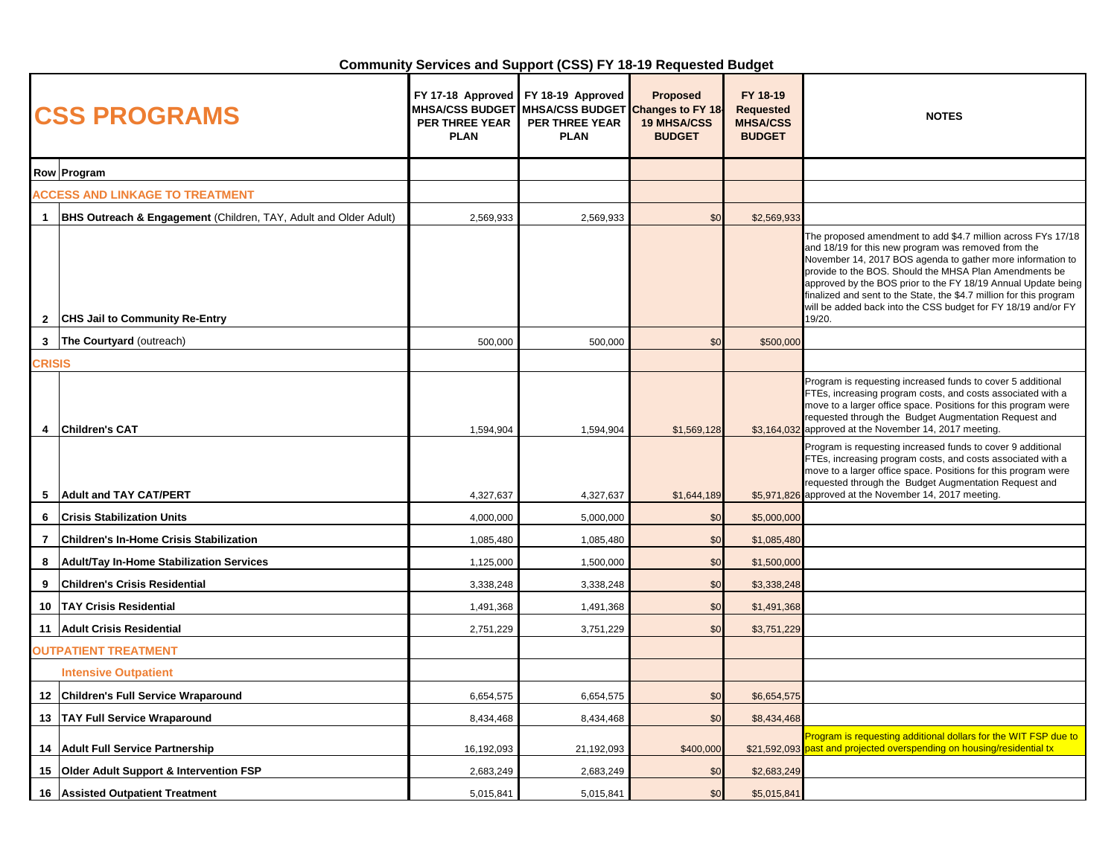## **Community Services and Support (CSS) FY 18-19 Requested Budget**

| <b>CSS PROGRAMS</b>                    |                                                                             | FY 17-18 Approved<br><b>MHSA/CSS BUDGET</b><br><b>PER THREE YEAR</b><br><b>PLAN</b> | FY 18-19 Approved<br>MHSA/CSS BUDGET Changes to FY 18<br><b>PER THREE YEAR</b><br><b>PLAN</b> | <b>Proposed</b><br><b>19 MHSA/CSS</b><br><b>BUDGET</b> | FY 18-19<br><b>Requested</b><br><b>MHSA/CSS</b><br><b>BUDGET</b> | <b>NOTES</b>                                                                                                                                                                                                                                                                                                                                                                                                                                                   |
|----------------------------------------|-----------------------------------------------------------------------------|-------------------------------------------------------------------------------------|-----------------------------------------------------------------------------------------------|--------------------------------------------------------|------------------------------------------------------------------|----------------------------------------------------------------------------------------------------------------------------------------------------------------------------------------------------------------------------------------------------------------------------------------------------------------------------------------------------------------------------------------------------------------------------------------------------------------|
| Row Program                            |                                                                             |                                                                                     |                                                                                               |                                                        |                                                                  |                                                                                                                                                                                                                                                                                                                                                                                                                                                                |
| <b>ACCESS AND LINKAGE TO TREATMENT</b> |                                                                             |                                                                                     |                                                                                               |                                                        |                                                                  |                                                                                                                                                                                                                                                                                                                                                                                                                                                                |
|                                        | <b>BHS Outreach &amp; Engagement (Children, TAY, Adult and Older Adult)</b> | 2,569,933                                                                           | 2,569,933                                                                                     | \$0                                                    | \$2,569,933                                                      |                                                                                                                                                                                                                                                                                                                                                                                                                                                                |
| $\mathbf{2}$                           | <b>CHS Jail to Community Re-Entry</b>                                       |                                                                                     |                                                                                               |                                                        |                                                                  | The proposed amendment to add \$4.7 million across FYs 17/18<br>and 18/19 for this new program was removed from the<br>November 14, 2017 BOS agenda to gather more information to<br>provide to the BOS. Should the MHSA Plan Amendments be<br>approved by the BOS prior to the FY 18/19 Annual Update being<br>finalized and sent to the State, the \$4.7 million for this program<br>will be added back into the CSS budget for FY 18/19 and/or FY<br>19/20. |
|                                        | 3 The Courtyard (outreach)                                                  | 500,000                                                                             | 500,000                                                                                       | \$0                                                    | \$500,000                                                        |                                                                                                                                                                                                                                                                                                                                                                                                                                                                |
| <b>CRISIS</b>                          |                                                                             |                                                                                     |                                                                                               |                                                        |                                                                  |                                                                                                                                                                                                                                                                                                                                                                                                                                                                |
| 4                                      | <b>Children's CAT</b>                                                       | 1,594,904                                                                           | 1,594,904                                                                                     | \$1,569,128                                            |                                                                  | Program is requesting increased funds to cover 5 additional<br>FTEs, increasing program costs, and costs associated with a<br>move to a larger office space. Positions for this program were<br>requested through the Budget Augmentation Request and<br>\$3,164,032 approved at the November 14, 2017 meeting.                                                                                                                                                |
| 5                                      | <b>Adult and TAY CAT/PERT</b>                                               | 4,327,637                                                                           | 4,327,637                                                                                     | \$1,644,189                                            |                                                                  | Program is requesting increased funds to cover 9 additional<br>FTEs, increasing program costs, and costs associated with a<br>move to a larger office space. Positions for this program were<br>requested through the Budget Augmentation Request and<br>\$5,971,826 approved at the November 14, 2017 meeting.                                                                                                                                                |
| 6                                      | <b>Crisis Stabilization Units</b>                                           | 4,000,000                                                                           | 5,000,000                                                                                     | \$0                                                    | \$5,000,000                                                      |                                                                                                                                                                                                                                                                                                                                                                                                                                                                |
| $\overline{7}$                         | <b>Children's In-Home Crisis Stabilization</b>                              | 1,085,480                                                                           | 1,085,480                                                                                     | \$0                                                    | \$1,085,480                                                      |                                                                                                                                                                                                                                                                                                                                                                                                                                                                |
| 8                                      | <b>Adult/Tay In-Home Stabilization Services</b>                             | 1,125,000                                                                           | 1,500,000                                                                                     | \$0                                                    | \$1,500,000                                                      |                                                                                                                                                                                                                                                                                                                                                                                                                                                                |
| 9                                      | <b>Children's Crisis Residential</b>                                        | 3,338,248                                                                           | 3,338,248                                                                                     | \$0                                                    | \$3,338,248                                                      |                                                                                                                                                                                                                                                                                                                                                                                                                                                                |
| 10                                     | <b>TAY Crisis Residential</b>                                               | 1,491,368                                                                           | 1,491,368                                                                                     | \$0                                                    | \$1,491,368                                                      |                                                                                                                                                                                                                                                                                                                                                                                                                                                                |
|                                        | 11   Adult Crisis Residential                                               | 2,751,229                                                                           | 3,751,229                                                                                     | \$0                                                    | \$3,751,229                                                      |                                                                                                                                                                                                                                                                                                                                                                                                                                                                |
| <b>OUTPATIENT TREATMENT</b>            |                                                                             |                                                                                     |                                                                                               |                                                        |                                                                  |                                                                                                                                                                                                                                                                                                                                                                                                                                                                |
|                                        | <b>Intensive Outpatient</b>                                                 |                                                                                     |                                                                                               |                                                        |                                                                  |                                                                                                                                                                                                                                                                                                                                                                                                                                                                |
|                                        | 12 Children's Full Service Wraparound                                       | 6,654,575                                                                           | 6,654,575                                                                                     | \$0                                                    | \$6,654,575                                                      |                                                                                                                                                                                                                                                                                                                                                                                                                                                                |
|                                        | 13   TAY Full Service Wraparound                                            | 8,434,468                                                                           | 8,434,468                                                                                     | \$0                                                    | \$8,434,468                                                      |                                                                                                                                                                                                                                                                                                                                                                                                                                                                |
|                                        | 14 Adult Full Service Partnership                                           | 16,192,093                                                                          | 21,192,093                                                                                    | \$400,000                                              | \$21,592,093                                                     | Program is requesting additional dollars for the WIT FSP due to<br>past and projected overspending on housing/residential tx                                                                                                                                                                                                                                                                                                                                   |
| 15                                     | <b>Older Adult Support &amp; Intervention FSP</b>                           | 2,683,249                                                                           | 2,683,249                                                                                     | \$0                                                    | \$2,683,249                                                      |                                                                                                                                                                                                                                                                                                                                                                                                                                                                |
|                                        | 16 Assisted Outpatient Treatment                                            | 5,015,841                                                                           | 5,015,841                                                                                     | \$0                                                    | \$5,015,841                                                      |                                                                                                                                                                                                                                                                                                                                                                                                                                                                |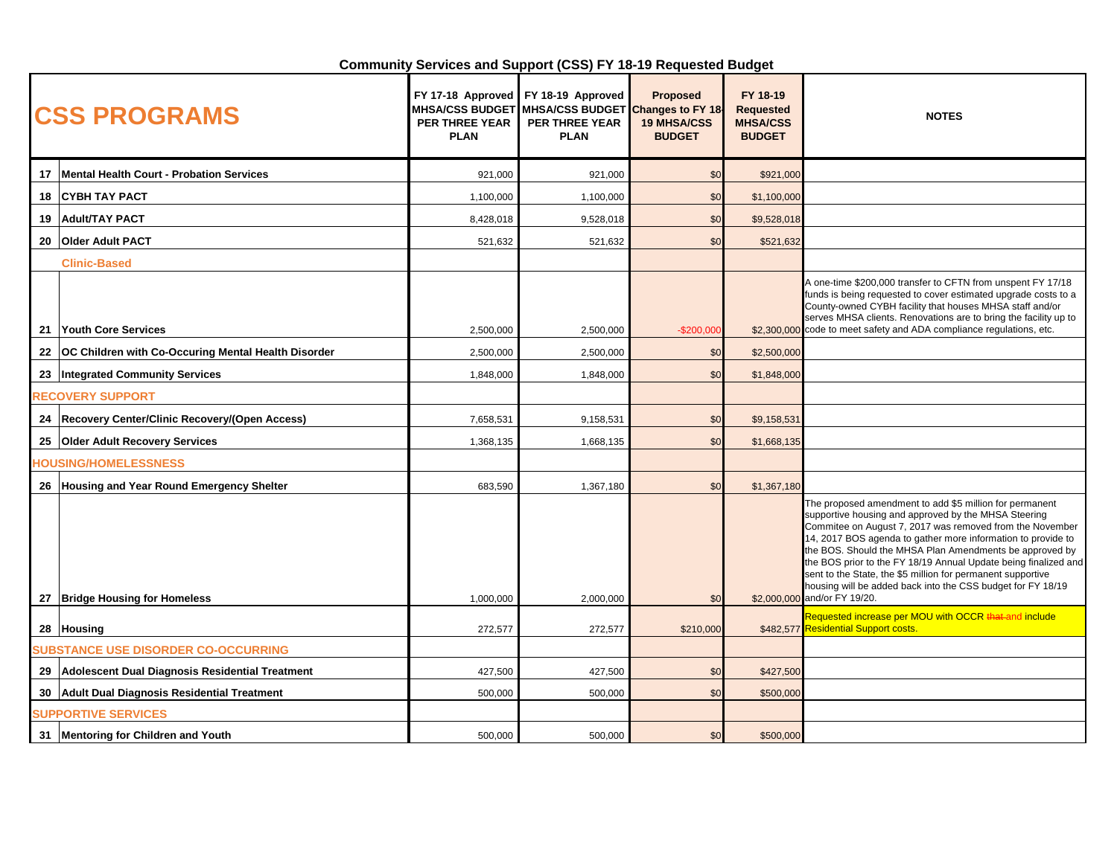## **Community Services and Support (CSS) FY 18-19 Requested Budget**

| <b>CSS PROGRAMS</b>         |                                                          | <b>PER THREE YEAR</b><br><b>PLAN</b> | FY 17-18 Approved FY 18-19 Approved<br>MHSA/CSS BUDGET MHSA/CSS BUDGET Changes to FY 18<br><b>PER THREE YEAR</b><br><b>PLAN</b> | <b>Proposed</b><br><b>19 MHSA/CSS</b><br><b>BUDGET</b> | FY 18-19<br><b>Requested</b><br><b>MHSA/CSS</b><br><b>BUDGET</b> | <b>NOTES</b>                                                                                                                                                                                                                                                                                                                                                                                                                                                                                                                            |
|-----------------------------|----------------------------------------------------------|--------------------------------------|---------------------------------------------------------------------------------------------------------------------------------|--------------------------------------------------------|------------------------------------------------------------------|-----------------------------------------------------------------------------------------------------------------------------------------------------------------------------------------------------------------------------------------------------------------------------------------------------------------------------------------------------------------------------------------------------------------------------------------------------------------------------------------------------------------------------------------|
| 17                          | Mental Health Court - Probation Services                 | 921,000                              | 921,000                                                                                                                         | \$0                                                    | \$921,000                                                        |                                                                                                                                                                                                                                                                                                                                                                                                                                                                                                                                         |
| 18                          | <b>CYBH TAY PACT</b>                                     | 1,100,000                            | 1,100,000                                                                                                                       | \$0                                                    | \$1,100,000                                                      |                                                                                                                                                                                                                                                                                                                                                                                                                                                                                                                                         |
|                             | 19 Adult/TAY PACT                                        | 8,428,018                            | 9,528,018                                                                                                                       | \$0                                                    | \$9,528,018                                                      |                                                                                                                                                                                                                                                                                                                                                                                                                                                                                                                                         |
| 20                          | <b>Older Adult PACT</b>                                  | 521,632                              | 521,632                                                                                                                         | \$0                                                    | \$521,632                                                        |                                                                                                                                                                                                                                                                                                                                                                                                                                                                                                                                         |
|                             | <b>Clinic-Based</b>                                      |                                      |                                                                                                                                 |                                                        |                                                                  |                                                                                                                                                                                                                                                                                                                                                                                                                                                                                                                                         |
| 21                          | Youth Core Services                                      | 2,500,000                            | 2,500,000                                                                                                                       | $-$200,000$                                            |                                                                  | A one-time \$200,000 transfer to CFTN from unspent FY 17/18<br>funds is being requested to cover estimated upgrade costs to a<br>County-owned CYBH facility that houses MHSA staff and/or<br>serves MHSA clients. Renovations are to bring the facility up to<br>\$2,300,000 code to meet safety and ADA compliance regulations, etc.                                                                                                                                                                                                   |
|                             | 22 OC Children with Co-Occuring Mental Health Disorder   | 2,500,000                            | 2,500,000                                                                                                                       | \$0                                                    | \$2,500,000                                                      |                                                                                                                                                                                                                                                                                                                                                                                                                                                                                                                                         |
|                             | 23 Integrated Community Services                         | 1,848,000                            | 1,848,000                                                                                                                       | \$0                                                    | \$1,848,000                                                      |                                                                                                                                                                                                                                                                                                                                                                                                                                                                                                                                         |
| <b>RECOVERY SUPPORT</b>     |                                                          |                                      |                                                                                                                                 |                                                        |                                                                  |                                                                                                                                                                                                                                                                                                                                                                                                                                                                                                                                         |
|                             | 24 Recovery Center/Clinic Recovery/(Open Access)         | 7,658,531                            | 9,158,531                                                                                                                       | \$0                                                    | \$9,158,531                                                      |                                                                                                                                                                                                                                                                                                                                                                                                                                                                                                                                         |
|                             | 25 Older Adult Recovery Services                         | 1,368,135                            | 1,668,135                                                                                                                       | \$0                                                    | \$1,668,135                                                      |                                                                                                                                                                                                                                                                                                                                                                                                                                                                                                                                         |
| <b>TOUSING/HOMELESSNESS</b> |                                                          |                                      |                                                                                                                                 |                                                        |                                                                  |                                                                                                                                                                                                                                                                                                                                                                                                                                                                                                                                         |
|                             | 26 Housing and Year Round Emergency Shelter              | 683,590                              | 1,367,180                                                                                                                       | \$0                                                    | \$1,367,180                                                      |                                                                                                                                                                                                                                                                                                                                                                                                                                                                                                                                         |
|                             | 27   Bridge Housing for Homeless                         | 1,000,000                            | 2,000,000                                                                                                                       | \$0                                                    |                                                                  | The proposed amendment to add \$5 million for permanent<br>supportive housing and approved by the MHSA Steering<br>Commitee on August 7, 2017 was removed from the November<br>14, 2017 BOS agenda to gather more information to provide to<br>the BOS. Should the MHSA Plan Amendments be approved by<br>the BOS prior to the FY 18/19 Annual Update being finalized and<br>sent to the State, the \$5 million for permanent supportive<br>housing will be added back into the CSS budget for FY 18/19<br>\$2,000,000 and/or FY 19/20. |
|                             |                                                          |                                      |                                                                                                                                 |                                                        |                                                                  | Requested increase per MOU with OCCR that and include<br>\$482,577 Residential Support costs.                                                                                                                                                                                                                                                                                                                                                                                                                                           |
|                             | 28 Housing<br><b>SUBSTANCE USE DISORDER CO-OCCURRING</b> | 272,577                              | 272,577                                                                                                                         | \$210,000                                              |                                                                  |                                                                                                                                                                                                                                                                                                                                                                                                                                                                                                                                         |
|                             | 29 Adolescent Dual Diagnosis Residential Treatment       | 427,500                              | 427,500                                                                                                                         | \$0                                                    | \$427,500                                                        |                                                                                                                                                                                                                                                                                                                                                                                                                                                                                                                                         |
|                             | 30 Adult Dual Diagnosis Residential Treatment            | 500,000                              | 500,000                                                                                                                         | \$0                                                    | \$500,000                                                        |                                                                                                                                                                                                                                                                                                                                                                                                                                                                                                                                         |
|                             | <b>SUPPORTIVE SERVICES</b>                               |                                      |                                                                                                                                 |                                                        |                                                                  |                                                                                                                                                                                                                                                                                                                                                                                                                                                                                                                                         |
|                             | 31 Mentoring for Children and Youth                      | 500,000                              | 500.000                                                                                                                         | \$0                                                    | \$500,000                                                        |                                                                                                                                                                                                                                                                                                                                                                                                                                                                                                                                         |